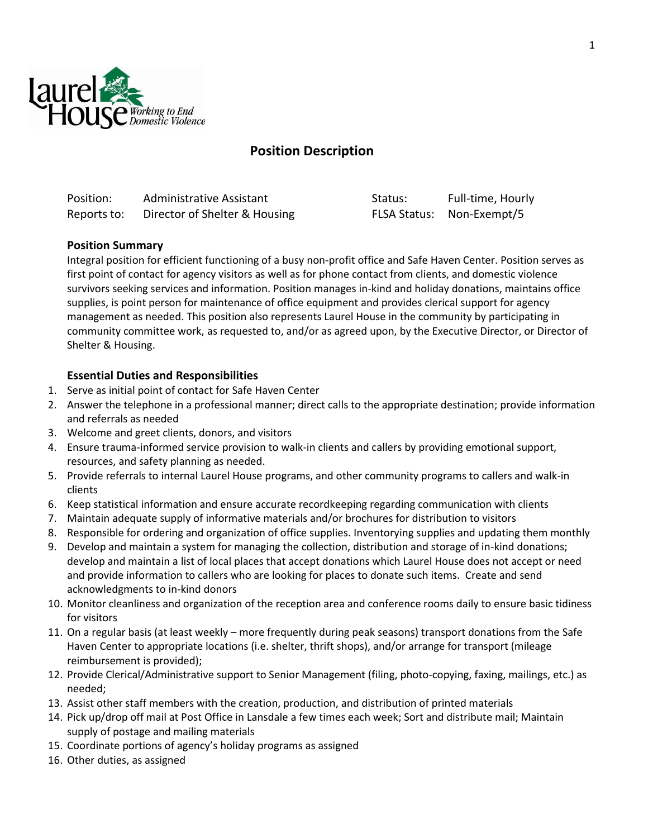

# **Position Description**

| Position:   | Administrative Assistant      | Status: | Full-time, Hourly         |
|-------------|-------------------------------|---------|---------------------------|
| Reports to: | Director of Shelter & Housing |         | FLSA Status: Non-Exempt/5 |

### **Position Summary**

Integral position for efficient functioning of a busy non-profit office and Safe Haven Center. Position serves as first point of contact for agency visitors as well as for phone contact from clients, and domestic violence survivors seeking services and information. Position manages in-kind and holiday donations, maintains office supplies, is point person for maintenance of office equipment and provides clerical support for agency management as needed. This position also represents Laurel House in the community by participating in community committee work, as requested to, and/or as agreed upon, by the Executive Director, or Director of Shelter & Housing.

### **Essential Duties and Responsibilities**

- 1. Serve as initial point of contact for Safe Haven Center
- 2. Answer the telephone in a professional manner; direct calls to the appropriate destination; provide information and referrals as needed
- 3. Welcome and greet clients, donors, and visitors
- 4. Ensure trauma-informed service provision to walk-in clients and callers by providing emotional support, resources, and safety planning as needed.
- 5. Provide referrals to internal Laurel House programs, and other community programs to callers and walk-in clients
- 6. Keep statistical information and ensure accurate recordkeeping regarding communication with clients
- 7. Maintain adequate supply of informative materials and/or brochures for distribution to visitors
- 8. Responsible for ordering and organization of office supplies. Inventorying supplies and updating them monthly
- 9. Develop and maintain a system for managing the collection, distribution and storage of in-kind donations; develop and maintain a list of local places that accept donations which Laurel House does not accept or need and provide information to callers who are looking for places to donate such items. Create and send acknowledgments to in-kind donors
- 10. Monitor cleanliness and organization of the reception area and conference rooms daily to ensure basic tidiness for visitors
- 11. On a regular basis (at least weekly more frequently during peak seasons) transport donations from the Safe Haven Center to appropriate locations (i.e. shelter, thrift shops), and/or arrange for transport (mileage reimbursement is provided);
- 12. Provide Clerical/Administrative support to Senior Management (filing, photo-copying, faxing, mailings, etc.) as needed;
- 13. Assist other staff members with the creation, production, and distribution of printed materials
- 14. Pick up/drop off mail at Post Office in Lansdale a few times each week; Sort and distribute mail; Maintain supply of postage and mailing materials
- 15. Coordinate portions of agency's holiday programs as assigned
- 16. Other duties, as assigned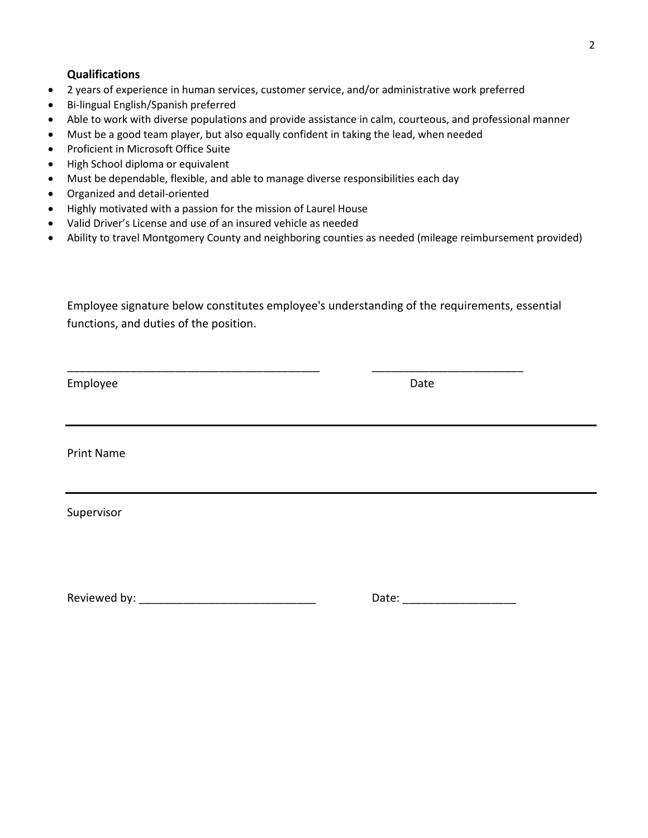#### **Qualifications**

- 2 years of experience in human services, customer service, and/or administrative work preferred
- Bi-lingual English/Spanish preferred
- Able to work with diverse populations and provide assistance in calm, courteous, and professional manner
- Must be a good team player, but also equally confident in taking the lead, when needed
- Proficient in Microsoft Office Suite
- High School diploma or equivalent
- Must be dependable, flexible, and able to manage diverse responsibilities each day
- Organized and detail-oriented
- Highly motivated with a passion for the mission of Laurel House
- Valid Driver's License and use of an insured vehicle as needed
- Ability to travel Montgomery County and neighboring counties as needed (mileage reimbursement provided)

Employee signature below constitutes employee's understanding of the requirements, essential functions, and duties of the position.

\_\_\_\_\_\_\_\_\_\_\_\_\_\_\_\_\_\_\_\_\_\_\_\_\_\_\_\_\_\_\_\_\_\_\_\_\_\_\_\_ \_\_\_\_\_\_\_\_\_\_\_\_\_\_\_\_\_\_\_\_\_\_\_\_

Employee Date Date Date

Print Name

Supervisor

Reviewed by: \_\_\_\_\_\_\_\_\_\_\_\_\_\_\_\_\_\_\_\_\_\_\_\_\_\_\_\_ Date: \_\_\_\_\_\_\_\_\_\_\_\_\_\_\_\_\_\_